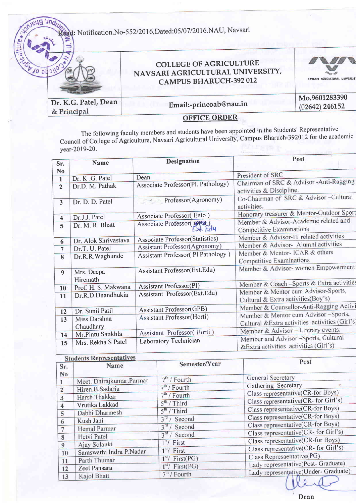: Notification.No-552/2016,Dated:05/07/2016.NAU, Navsari

|                      | <b>COLLEGE OF AGRICULTURE</b><br>NAVSARI AGRICULTURAL UNIVERSITY,<br><b>CAMPUS BHARUCH-392 012</b> | NAVSARI AGRICULTURAL UNIVERSITY   |
|----------------------|----------------------------------------------------------------------------------------------------|-----------------------------------|
| Dr. K.G. Patel, Dean | Email:-princoab@nau.in                                                                             | Mo.9601283390<br>$(02642)$ 246152 |
| & Principal          | <b>OFFICE ORDER</b>                                                                                |                                   |

The following faculty members and students have been appointed in the Students' Representative Council of College of Agriculture, Navsari Agricultural University, Campus Bharuch-392012 for the academic year-2019-20.

| Sr.                     | <b>Name</b>                        | <b>Designation</b>                           | Post                                                                                   |
|-------------------------|------------------------------------|----------------------------------------------|----------------------------------------------------------------------------------------|
| N <sub>o</sub>          |                                    | Dean                                         | President of SRC                                                                       |
| 1<br>$\overline{2}$     | Dr. K .G. Patel<br>Dr.D. M. Pathak | Associate Professor(Pl. Pathology)           | Chairman of SRC & Advisor -Anti-Ragging<br>activities & Discipline.                    |
| $\overline{\mathbf{3}}$ | Dr. D. D. Patel                    | $\overline{\phantom{a}}$ Professor(Agronomy) | Co-Chairman of SRC & Advisor-Cultural<br>activities.                                   |
| 4                       | Dr.J.J. Patel                      | Associate Professor(Ento)                    | Honorary treasurer & Mentor-Outdoor Sport                                              |
| 5                       | Dr. M. R. Bhatt                    | Associate Professor(SPB)<br>$-x + Ed4$       | Member & Advisor-Academic related and<br>Competitive Examinations                      |
| 6                       | Dr. Alok Shrivastava               | Associate Professor(Statistics)              | Member & Advisor-IT related activities                                                 |
| $\overline{7}$          | Dr.T. U. Patel                     | <b>Assistant Professor(Agronomy)</b>         | Member & Advisor- Alumni activities                                                    |
| 8                       | Dr.R.R.Waghunde                    | Assistant Professor( Pl.Pathology )          | Member & Mentor- ICAR & others<br>Competitive Examinations                             |
| $\overline{9}$          | Mrs. Deepa<br>Hiremath             | Assistant Professor(Ext.Edu)                 | Member & Advisor- women Empowerment                                                    |
| 10 <sup>°</sup>         | Prof. H. S. Makwana                | <b>Assistant Professor(PI)</b>               | Member & Coach -Sports & Extra activities                                              |
| 11                      | Dr.R.D.Dhandhukia                  | Assistant Professor(Ext.Edu)                 | Member & Mentor cum Advisor-Sports,<br>Cultural & Extra activities(Boy's)              |
| 12                      | Dr. Sunil Patil                    | <b>Assistant Professor(GPB)</b>              | Member & Counsellor-Anti-Ragging Activi                                                |
| 13                      | Miss Darshna<br>Chaudhary          | <b>Assistant Professor(Horti)</b>            | Member & Mentor cum Advisor -Sports,<br>Cultural &Extra activities activities (Girl's) |
| 14                      | Mr.Pintu Sankhla                   | Assistant Professor(Horti)                   | Member & Advisor - Literary events.                                                    |
| 15                      | Mrs. Rekha S Patel                 | Laboratory Technician                        | Member and Advisor -Sports, Cultural<br>&Extra activities activities (Girl's)          |

| <b>Students Representatives</b> |                          |                          |                                      |
|---------------------------------|--------------------------|--------------------------|--------------------------------------|
| Sr.                             | Name                     | Semester/Year            | Post                                 |
| No                              | Meet. Dhirajkumar.Parmar | $7th$ / Fourth           | <b>General Secretary</b>             |
|                                 | Hiren.B.Sadaria          | $7th$ / Fourth           | Gathering Secretary                  |
| $\overline{2}$                  | Harsh Thakkar            | $7th$ / Fourth           | Class representative(CR-for Boys)    |
| 3                               | Vrutika Lakkad           | $5th$ / Third            | Class representative(CR- for Girl's) |
|                                 | Dabhi Dharmesh           | $5th$ / Third            | Class representative(CR-for Boys)    |
| 5                               | Kush Jani                | $3^{\text{rd}}$ / Second | Class representative(CR-for Boys)    |
| 6<br>7                          | Hemal Parmar             | $3rd$ / Second           | Class representative(CR-for Boys)    |
| 8                               | Hetvi Patel              | $3rd$ / Second           | Class representative(CR- for Girl's) |
|                                 | Ajay Solanki             | $1st$ First              | Class representative(CR-for Boys)    |
| 9                               | Saraswathi Indra P.Nadar | $1st$ First              | Class representative(CR- for Girl's) |
| 10                              | Parth Thumar             | $1st$ / First(PG)        | Class Represaentative(PG)            |
| 11                              | Zeel Pansara             | $1st$ / First(PG)        | Lady representative(Post- Graduate)  |
| 12<br>13                        | Kajol Bhatt              | $7th$ / Fourth           | Lady representative(Under- Graduate) |
|                                 |                          |                          |                                      |

Dean